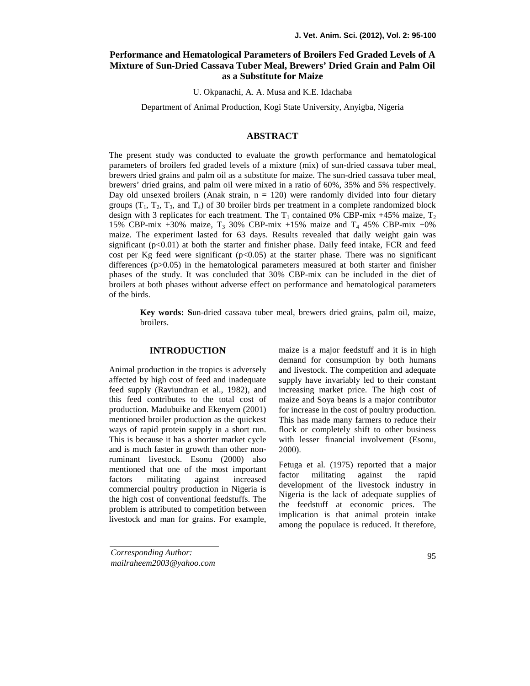# **Performance and Hematological Parameters of Broilers Fed Graded Levels of A Mixture of Sun-Dried Cassava Tuber Meal, Brewers' Dried Grain and Palm Oil as a Substitute for Maize**

U. Okpanachi, A. A. Musa and K.E. Idachaba

Department of Animal Production, Kogi State University, Anyigba, Nigeria

# **ABSTRACT**

The present study was conducted to evaluate the growth performance and hematological parameters of broilers fed graded levels of a mixture (mix) of sun-dried cassava tuber meal, brewers dried grains and palm oil as a substitute for maize. The sun-dried cassava tuber meal, brewers' dried grains, and palm oil were mixed in a ratio of 60%, 35% and 5% respectively. Day old unsexed broilers (Anak strain,  $n = 120$ ) were randomly divided into four dietary groups  $(T_1, T_2, T_3,$  and  $T_4$ ) of 30 broiler birds per treatment in a complete randomized block design with 3 replicates for each treatment. The  $T_1$  contained 0% CBP-mix +45% maize,  $T_2$ 15% CBP-mix +30% maize,  $T_3$  30% CBP-mix +15% maize and  $T_4$  45% CBP-mix +0% maize. The experiment lasted for 63 days. Results revealed that daily weight gain was significant  $(p<0.01)$  at both the starter and finisher phase. Daily feed intake, FCR and feed cost per Kg feed were significant  $(p<0.05)$  at the starter phase. There was no significant differences  $(p>0.05)$  in the hematological parameters measured at both starter and finisher phases of the study. It was concluded that 30% CBP-mix can be included in the diet of broilers at both phases without adverse effect on performance and hematological parameters of the birds.

**Key words: S**un-dried cassava tuber meal, brewers dried grains, palm oil, maize, broilers.

## **INTRODUCTION**

Animal production in the tropics is adversely affected by high cost of feed and inadequate feed supply (Raviundran et al., 1982), and this feed contributes to the total cost of production. Madubuike and Ekenyem (2001) mentioned broiler production as the quickest ways of rapid protein supply in a short run. This is because it has a shorter market cycle and is much faster in growth than other nonruminant livestock. Esonu (2000) also mentioned that one of the most important factors militating against increased commercial poultry production in Nigeria is the high cost of conventional feedstuffs. The problem is attributed to competition between livestock and man for grains. For example,

maize is a major feedstuff and it is in high demand for consumption by both humans and livestock. The competition and adequate supply have invariably led to their constant increasing market price. The high cost of maize and Soya beans is a major contributor for increase in the cost of poultry production. This has made many farmers to reduce their flock or completely shift to other business with lesser financial involvement (Esonu, 2000).

Fetuga et al*.* (1975) reported that a major factor militating against the rapid development of the livestock industry in Nigeria is the lack of adequate supplies of the feedstuff at economic prices. The implication is that animal protein intake among the populace is reduced. It therefore,

*Corresponding Author: mailraheem2003@yahoo.com*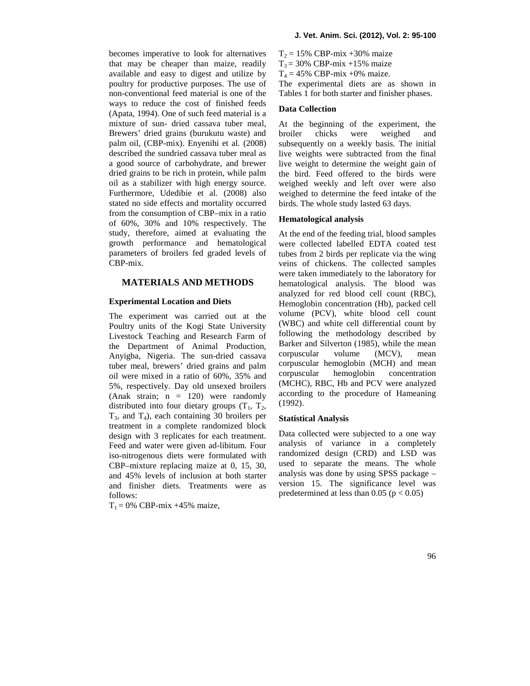becomes imperative to look for alternatives that may be cheaper than maize, readily available and easy to digest and utilize by poultry for productive purposes. The use of non-conventional feed material is one of the ways to reduce the cost of finished feeds (Apata, 1994). One of such feed material is a mixture of sun- dried cassava tuber meal, Brewers' dried grains (burukutu waste) and broiler palm oil, (CBP-mix). Enyenihi et al*.* (2008) described the sundried cassava tuber meal as a good source of carbohydrate, and brewer dried grains to be rich in protein, while palm oil as a stabilizer with high energy source. Furthermore, Udedibie et al*.* (2008) also stated no side effects and mortality occurred from the consumption of CBP–mix in a ratio of 60%, 30% and 10% respectively. The study, therefore, aimed at evaluating the growth performance and hematological parameters of broilers fed graded levels of CBP-mix.

#### **MATERIALS AND METHODS**

#### **Experimental Location and Diets**

The experiment was carried out at the Poultry units of the Kogi State University Livestock Teaching and Research Farm of the Department of Animal Production, Anyigba, Nigeria. The sun-dried cassava tuber meal, brewers' dried grains and palm<br>oil were mixed in a ratio of  $60\%$  3.5% and corpuscular oil were mixed in a ratio of 60%, 35% and 5%, respectively. Day old unsexed broilers (Anak strain;  $n = 120$ ) were randomly distributed into four dietary groups  $(T_1, T_2,$  $T_3$ , and  $T_4$ ), each containing 30 broilers per treatment in a complete randomized block design with 3 replicates for each treatment. Feed and water were given ad-libitum*.* Four iso-nitrogenous diets were formulated with CBP–mixture replacing maize at 0, 15, 30, and 45% levels of inclusion at both starter and finisher diets. Treatments were as follows:

 $T_1 = 0\%$  CBP-mix +45% maize,

 $T<sub>2</sub> = 15%$  CBP-mix +30% maize  $T_3 = 30\% \text{ CBP-mix} +15\% \text{ maize}$  $T_4 = 45\% \text{ CBP-mix } +0\% \text{ maize}.$ The experimental diets are as shown in

Tables 1 for both starter and finisher phases.

## **Data Collection**

At the beginning of the experiment, the chicks were weighed and subsequently on a weekly basis. The initial live weights were subtracted from the final live weight to determine the weight gain of the bird. Feed offered to the birds were weighed weekly and left over were also weighed to determine the feed intake of the birds. The whole study lasted 63 days.

#### **Hematological analysis**

At the end of the feeding trial, blood samples were collected labelled EDTA coated test tubes from 2 birds per replicate via the wing veins of chickens. The collected samples were taken immediately to the laboratory for hematological analysis. The blood was analyzed for red blood cell count (RBC), Hemoglobin concentration (Hb), packed cell volume (PCV), white blood cell count (WBC) and white cell differential count by following the methodology described by Barker and Silverton (1985), while the mean corpuscular volume (MCV), mean corpuscular hemoglobin (MCH) and mean hemoglobin concentration (MCHC), RBC, Hb and PCV were analyzed according to the procedure of Hameaning (1992).

## **Statistical Analysis**

Data collected were subjected to a one way analysis of variance in a completely randomized design (CRD) and LSD was used to separate the means. The whole analysis was done by using SPSS package – version 15. The significance level was predetermined at less than  $0.05$  ( $p < 0.05$ )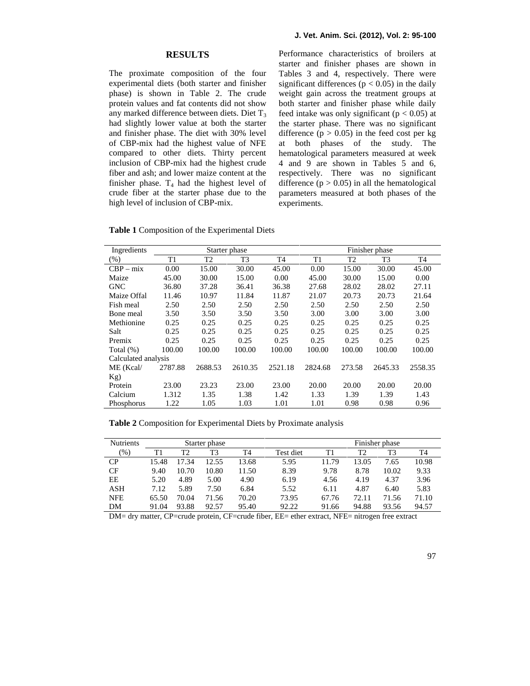#### **RESULTS**

The proximate composition of the four experimental diets (both starter and finisher phase) is shown in Table 2. The crude protein values and fat contents did not show any marked difference between diets. Diet  $T_3$ had slightly lower value at both the starter and finisher phase. The diet with 30% level of CBP-mix had the highest value of NFE compared to other diets. Thirty percent inclusion of CBP-mix had the highest crude fiber and ash; and lower maize content at the finisher phase.  $T_4$  had the highest level of crude fiber at the starter phase due to the high level of inclusion of CBP-mix.

Performance characteristics of broilers at starter and finisher phases are shown in Tables 3 and 4, respectively. There were significant differences ( $p < 0.05$ ) in the daily weight gain across the treatment groups at both starter and finisher phase while daily feed intake was only significant ( $p < 0.05$ ) at the starter phase. There was no significant difference  $(p > 0.05)$  in the feed cost per kg at both phases of the study. The hematological parameters measured at week 4 and 9 are shown in Tables 5 and 6, respectively. There was no significant difference  $(p > 0.05)$  in all the hematological parameters measured at both phases of the experiments.

**Table 1** Composition of the Experimental Diets

| Ingredients         |         |         | Starter phase |         |                |        | Finisher phase |         |
|---------------------|---------|---------|---------------|---------|----------------|--------|----------------|---------|
| $(\% )$             | T1      | T2      | T3            | T4      | T <sub>1</sub> | T2     | T <sub>3</sub> | T4      |
| $CBP - mix$         | 0.00    | 15.00   | 30.00         | 45.00   | 0.00           | 15.00  | 30.00          | 45.00   |
| Maize               | 45.00   | 30.00   | 15.00         | 0.00    | 45.00          | 30.00  | 15.00          | 0.00    |
| <b>GNC</b>          | 36.80   | 37.28   | 36.41         | 36.38   | 27.68          | 28.02  | 28.02          | 27.11   |
| Maize Offal         | 11.46   | 10.97   | 11.84         | 11.87   | 21.07          | 20.73  | 20.73          | 21.64   |
| Fish meal           | 2.50    | 2.50    | 2.50          | 2.50    | 2.50           | 2.50   | 2.50           | 2.50    |
| Bone meal           | 3.50    | 3.50    | 3.50          | 3.50    | 3.00           | 3.00   | 3.00           | 3.00    |
| Methionine          | 0.25    | 0.25    | 0.25          | 0.25    | 0.25           | 0.25   | 0.25           | 0.25    |
| Salt                | 0.25    | 0.25    | 0.25          | 0.25    | 0.25           | 0.25   | 0.25           | 0.25    |
| Premix              | 0.25    | 0.25    | 0.25          | 0.25    | 0.25           | 0.25   | 0.25           | 0.25    |
| Total $(\%)$        | 100.00  | 100.00  | 100.00        | 100.00  | 100.00         | 100.00 | 100.00         | 100.00  |
| Calculated analysis |         |         |               |         |                |        |                |         |
| ME (Kcal/           | 2787.88 | 2688.53 | 2610.35       | 2521.18 | 2824.68        | 273.58 | 2645.33        | 2558.35 |
| Kg)                 |         |         |               |         |                |        |                |         |
| Protein             | 23.00   | 23.23   | 23.00         | 23.00   | 20.00          | 20.00  | 20.00          | 20.00   |
| Calcium             | 1.312   | 1.35    | 1.38          | 1.42    | 1.33           | 1.39   | 1.39           | 1.43    |
| Phosphorus          | 1.22    | 1.05    | 1.03          | 1.01    | 1.01           | 0.98   | 0.98           | 0.96    |

**Table 2** Composition for Experimental Diets by Proximate analysis

| <b>Nutrients</b> |       |       | Starter phase  |       |           |       |       | Finisher phase |       |
|------------------|-------|-------|----------------|-------|-----------|-------|-------|----------------|-------|
| $(\%)$           |       | T2    | T <sub>3</sub> | T4    | Test diet | T1    | T2    | T <sub>3</sub> | T4    |
| CP.              | 15.48 | 17.34 | 12.55          | 13.68 | 5.95      | 11.79 | 13.05 | 7.65           | 10.98 |
| <b>CF</b>        | 9.40  | 10.70 | 10.80          | 11.50 | 8.39      | 9.78  | 8.78  | 10.02          | 9.33  |
| EΕ               | 5.20  | 4.89  | 5.00           | 4.90  | 6.19      | 4.56  | 4.19  | 4.37           | 3.96  |
| ASH              | 7.12  | 5.89  | 7.50           | 6.84  | 5.52      | 6.11  | 4.87  | 6.40           | 5.83  |
| <b>NFE</b>       | 65.50 | 70.04 | 71.56          | 70.20 | 73.95     | 67.76 | 72.11 | 71.56          | 71.10 |
| DM               | 91.04 | 93.88 | 92.57          | 95.40 | 92.22     | 91.66 | 94.88 | 93.56          | 94.57 |

DM= dry matter, CP=crude protein, CF=crude fiber, EE= ether extract, NFE= nitrogen free extract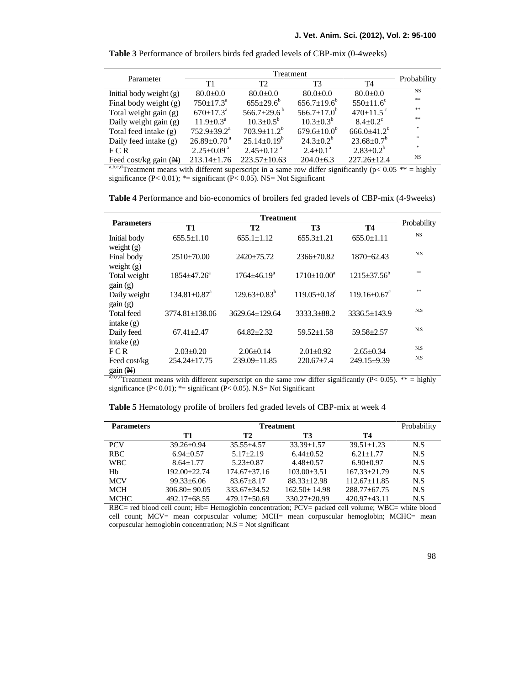| <b>Table 3</b> Performance of broilers birds fed graded levels of CBP-mix (0-4 weeks) |  |  |  |  |
|---------------------------------------------------------------------------------------|--|--|--|--|
|---------------------------------------------------------------------------------------|--|--|--|--|

| Parameter                        |                               |                               | Probability              |                     |           |
|----------------------------------|-------------------------------|-------------------------------|--------------------------|---------------------|-----------|
|                                  | T1                            | T <sub>2</sub>                | T3                       | T <sub>4</sub>      |           |
| Initial body weight (g)          | $80.0 \pm 0.0$                | $80.0 \pm 0.0$                | $80.0 \pm 0.0$           | $80.0 \pm 0.0$      | NS        |
| Final body weight (g)            | $750 \pm 17.3^{\circ}$        | $655+29.6^b$                  | $656.7 \pm 19.6^{\circ}$ | $550 \pm 11.6$ °    | $* *$     |
| Total weight gain (g)            | $670 \pm 17.3^{\circ}$        | 566.7 $\pm$ 29.6 <sup>b</sup> | $566.7 + 17.0^b$         | $470+11.5$ °        | **        |
| Daily weight gain (g)            | $11.9 \pm 0.3^{\text{a}}$     | $10.3 \pm 0.5^{\circ}$        | $10.3 + 0.3^{b}$         | $8.4 + 0.2^{\circ}$ | $* *$     |
| Total feed intake (g)            | $752.9 \pm 39.2^{\mathrm{a}}$ | $703.9 \pm 11.2^b$            | $679.6 \pm 10.0^b$       | $666.0\pm41.2^b$    | *         |
| Daily feed intake (g)            | $26.89 \pm 0.70$ <sup>a</sup> | $25.14 \pm 0.19^{\circ}$      | $24.3 \pm 0.2^b$         | $23.68 \pm 0.7^b$   | $\gg$     |
| FCR                              | $2.25 \pm 0.09^{\text{a}}$    | $2.45 \pm 0.12$ <sup>a</sup>  | $2.4 \pm 0.1^{\circ}$    | $2.83 \pm 0.2^b$    | *         |
| Feed cost/kg gain $(\mathbb{N})$ | $213.14 \pm 1.76$             | $223.57 \pm 10.63$            | $204.0 \pm 6.3$          | $227.26 \pm 12.4$   | <b>NS</b> |
| abcd                             |                               |                               |                          |                     |           |

a,b,c,dTreatment means with different superscript in a same row differ significantly ( $p$ < 0.05 \*\* = highly significance (P< 0.01); \*= significant (P< 0.05). NS= Not Significant

**Table 4** Performance and bio-economics of broilers fed graded levels of CBP-mix (4-9weeks)

| <b>Parameters</b>            |                                |                     |                   |                                |             |
|------------------------------|--------------------------------|---------------------|-------------------|--------------------------------|-------------|
|                              | <b>T1</b>                      | T2                  | T3                | <b>T4</b>                      | Probability |
| Initial body                 | $655.5 \pm 1.10$               | $655.1 \pm 1.12$    | $655.3 \pm 1.21$  | $655.0 \pm 1.11$               | <b>NS</b>   |
| weight $(g)$<br>Final body   | $2510\pm70.00$                 | $2420 \pm 75.72$    | $2366 \pm 70.82$  | $1870 \pm 62.43$               | N.S         |
| weight $(g)$<br>Total weight | $1854 + 47.26^{\circ}$         | $1764 + 46.19^a$    | $1710+10.00^a$    | $1215 \pm 37.56^b$             | $**$        |
| gain(g)<br>Daily weight      | $134.81 \pm 0.87$ <sup>a</sup> | $129.63 \pm 0.83^b$ | $119.05 + 0.18^c$ | $119.16 \pm 0.67$ <sup>c</sup> | $**$        |
| gain(g)<br>Total feed        | $3774.81 \pm 138.06$           | 3629.64+129.64      | $3333.3 \pm 88.2$ | $3336.5 \pm 143.9$             | N.S         |
| intake $(g)$<br>Daily feed   | $67.41 \pm 2.47$               | $64.82 \pm 2.32$    | $59.52 \pm 1.58$  | $59.58 \pm 2.57$               | N.S         |
| intake $(g)$<br>FCR          | $2.03 \pm 0.20$                | $2.06 \pm 0.14$     | $2.01 \pm 0.92$   | $2.65 \pm 0.34$                | N.S<br>N.S  |
| Feed cost/kg<br>gain (N)     | $254.24 \pm 17.75$             | $239.09 \pm 11.85$  | $220.67 \pm 7.4$  | $249.15 \pm 9.39$              |             |

a,b,c,dTreatment means with different superscript on the same row differ significantly (P< 0.05). \*\* = highly significance (P< 0.01);  $*$  = significant (P< 0.05). N.S = Not Significant

| <b>Parameters</b> |                    | Probability      |                  |                    |     |
|-------------------|--------------------|------------------|------------------|--------------------|-----|
|                   | T1                 | Т2               | T3               | Т4                 |     |
| <b>PCV</b>        | $39.26 + 0.94$     | $35.55 + 4.57$   | $33.39 + 1.57$   | $39.51 + 1.23$     | N.S |
| <b>RBC</b>        | $6.94 + 0.57$      | $5.17 + 2.19$    | $6.44 + 0.52$    | $6.21 + 1.77$      | N.S |
| <b>WBC</b>        | $8.64 + 1.77$      | $5.23 + 0.87$    | $4.48 + 0.57$    | $6.90+0.97$        | N.S |
| Hb                | $192.00+22.74$     | $174.67 + 37.16$ | $103.00 + 3.51$  | $167.33 + 21.79$   | N.S |
| <b>MCV</b>        | $99.33 \pm 6.06$   | $83.67 + 8.17$   | $88.33 + 12.98$  | $112.67 + 11.85$   | N.S |
| MCH               | $306.80 + 90.05$   | $333.67 + 34.52$ | $162.50 + 14.98$ | $288.77 \pm 67.75$ | N.S |
| <b>MCHC</b>       | $492.17 \pm 68.55$ | $479.17 + 50.69$ | $330.27 + 20.99$ | $420.97 + 43.11$   | N.S |

**Table 5** Hematology profile of broilers fed graded levels of CBP-mix at week 4

RBC= red blood cell count; Hb= Hemoglobin concentration; PCV= packed cell volume; WBC= white blood cell count; MCV= mean corpuscular volume; MCH= mean corpuscular hemoglobin; MCHC= mean corpuscular hemoglobin concentration;  $N.S = Not$  significant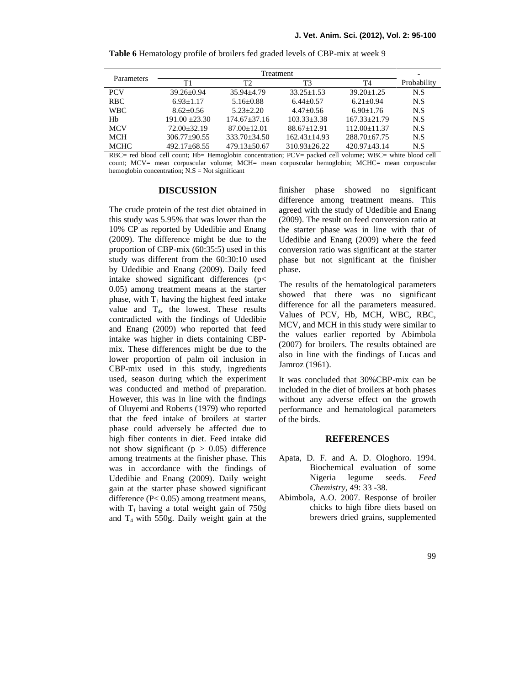| Parameters  |                    |                    |                  |                  |             |
|-------------|--------------------|--------------------|------------------|------------------|-------------|
|             | Τ1                 | T2                 | T3               | T4               | Probability |
| <b>PCV</b>  | $39.26 \pm 0.94$   | $35.94 + 4.79$     | $33.25 + 1.53$   | $39.20 + 1.25$   | N.S         |
| <b>RBC</b>  | $6.93 + 1.17$      | $5.16 \pm 0.88$    | $6.44 + 0.57$    | $6.21 + 0.94$    | N.S         |
| <b>WBC</b>  | $8.62 + 0.56$      | $5.23 + 2.20$      | $4.47+0.56$      | $6.90 + 1.76$    | N.S         |
| Hb          | $191.00 + 23.30$   | $174.67 + 37.16$   | $103.33 + 3.38$  | $167.33 + 21.79$ | N.S         |
| <b>MCV</b>  | $72.00 + 32.19$    | $87.00 + 12.01$    | $88.67 + 12.91$  | $112.00 + 11.37$ | N.S         |
| <b>MCH</b>  | $306.77+90.55$     | $333.70 + 34.50$   | $162.43 + 14.93$ | $288.70 + 67.75$ | N.S         |
| <b>MCHC</b> | $492.17 \pm 68.55$ | $479.13 \pm 50.67$ | $310.93 + 26.22$ | $420.97 + 43.14$ | N.S         |

**Table 6** Hematology profile of broilers fed graded levels of CBP-mix at week 9

RBC= red blood cell count; Hb= Hemoglobin concentration; PCV= packed cell volume; WBC= white blood cell count; MCV= mean corpuscular volume; MCH= mean corpuscular hemoglobin; MCHC= mean corpuscular hemoglobin concentration; N.S = Not significant

### **DISCUSSION**

The crude protein of the test diet obtained in this study was 5.95% that was lower than the 10% CP as reported by Udedibie and Enang (2009). The difference might be due to the proportion of CBP-mix (60:35:5) used in this study was different from the 60:30:10 used by Udedibie and Enang (2009). Daily feed intake showed significant differences (p< 0.05) among treatment means at the starter phase, with  $T_1$  having the highest feed intake value and  $T_4$ , the lowest. These results contradicted with the findings of Udedibie and Enang (2009) who reported that feed intake was higher in diets containing CBP mix. These differences might be due to the lower proportion of palm oil inclusion in CBP-mix used in this study, ingredients used, season during which the experiment was conducted and method of preparation. However, this was in line with the findings of Oluyemi and Roberts (1979) who reported that the feed intake of broilers at starter phase could adversely be affected due to high fiber contents in diet. Feed intake did not show significant ( $p > 0.05$ ) difference among treatments at the finisher phase. This was in accordance with the findings of Udedibie and Enang (2009). Daily weight gain at the starter phase showed significant difference (P< 0.05) among treatment means, with  $T_1$  having a total weight gain of 750g and  $T_4$  with 550g. Daily weight gain at the

finisher phase showed no significant difference among treatment means. This agreed with the study of Udedibie and Enang (2009). The result on feed conversion ratio at the starter phase was in line with that of Udedibie and Enang (2009) where the feed conversion ratio was significant at the starter phase but not significant at the finisher phase.

The results of the hematological parameters showed that there was no significant difference for all the parameters measured. Values of PCV, Hb, MCH, WBC, RBC, MCV, and MCH in this study were similar to the values earlier reported by Abimbola (2007) for broilers. The results obtained are also in line with the findings of Lucas and Jamroz (1961).

It was concluded that 30%CBP-mix can be included in the diet of broilers at both phases without any adverse effect on the growth performance and hematological parameters of the birds.

### **REFERENCES**

- Apata, D. F. and A. D. Ologhoro. 1994. Biochemical evaluation of some Nigeria legume seeds*. Feed Chemistry,* 49: 33 -38.
- Abimbola, A.O. 2007. Response of broiler chicks to high fibre diets based on brewers dried grains, supplemented